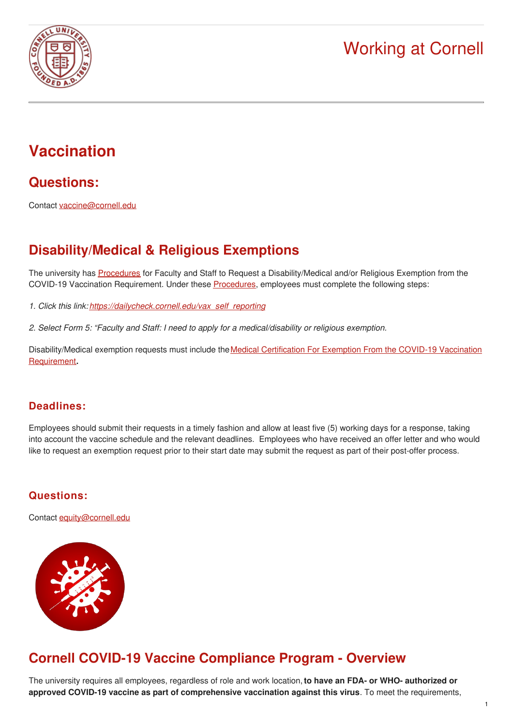

# **Vaccination**

**Questions:**

Contact [vaccine@cornell.edu](mailto:vaccine@cornell.edu)

# **Disability/Medical & Religious Exemptions**

The university has [Procedures](https://hr.cornell.edu/sites/default/files/procedures_for_faculty_and_staff_to_request_a_medical_or_religious_exemption_to_covid-19_health_and_safety_protocols_oct._2021.pdf) for Faculty and Staff to Request a Disability/Medical and/or Religious Exemption from the COVID-19 Vaccination Requirement. Under these [Procedures](https://hr.cornell.edu/sites/default/files/procedures_for_faculty_and_staff_to_request_a_medical_or_religious_exemption_to_covid-19_health_and_safety_protocols_oct._2021.pdf), employees must complete the following steps:

- *1. Click this link: [https://dailycheck.cornell.edu/vax\\_self\\_reporting](https://dailycheck.cornell.edu/vax_self_reporting)*
- *2. Select Form 5: "Faculty and Staff: I need to apply for a medical/disability or religious exemption.*

[Disability/Medical](https://hr.cornell.edu/sites/default/files/documents/medical_certification_for_exemption_from_covid-19_health_and_safety_protocols_form.pdf) exemption requests must include the Medical Certification For Exemption From the COVID-19 Vaccination Requirement**.**

#### **Deadlines:**

Employees should submit their requests in a timely fashion and allow at least five (5) working days for a response, taking into account the vaccine schedule and the relevant deadlines. Employees who have received an offer letter and who would like to request an exemption request prior to their start date may submit the request as part of their post-offer process.

#### **Questions:**

Contact [equity@cornell.edu](mailto:equity@cornell.edu)



# **Cornell COVID-19 Vaccine Compliance Program - Overview**

The university requires all employees, regardless of role and work location,**to have an FDA- or WHO- authorized or approved COVID-19 vaccine as part of comprehensive vaccination against this virus**. To meet the requirements,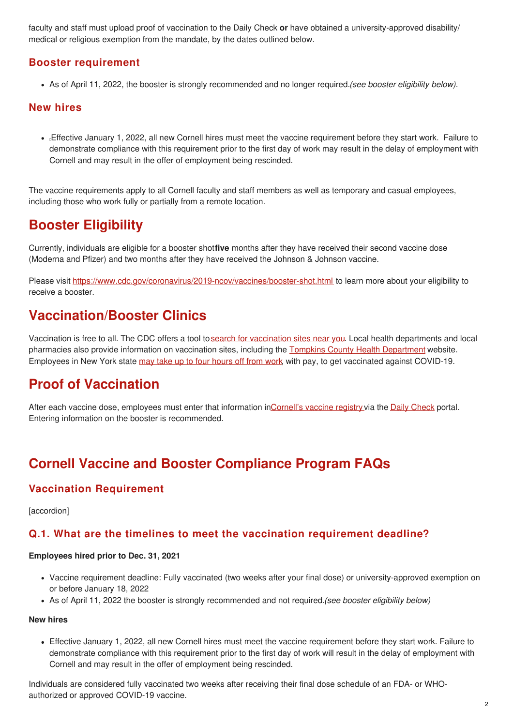faculty and staff must upload proof of vaccination to the Daily Check **or** have obtained a university-approved disability/ medical or religious exemption from the mandate, by the dates outlined below.

#### **Booster requirement**

As of April 11, 2022, the booster is strongly recommended and no longer required.*(see booster eligibility below).*

#### **New hires**

Effective January 1, 2022, all new Cornell hires must meet the vaccine requirement before they start work. Failure to demonstrate compliance with this requirement prior to the first day of work may result in the delay of employment with Cornell and may result in the offer of employment being rescinded.

The vaccine requirements apply to all Cornell faculty and staff members as well as temporary and casual employees, including those who work fully or partially from a remote location.

### **Booster Eligibility**

Currently, individuals are eligible for a booster shot**five** months after they have received their second vaccine dose (Moderna and Pfizer) and two months after they have received the Johnson & Johnson vaccine.

Please visit <https://www.cdc.gov/coronavirus/2019-ncov/vaccines/booster-shot.html> to learn more about your eligibility to receive a booster.

### **Vaccination/Booster Clinics**

Vaccination is free to all. The CDC offers a tool tosearch for [vaccination](https://www.vaccines.gov/) sites near you. Local health departments and local pharmacies also provide information on vaccination sites, including the Tompkins County Health [Department](https://tompkinscountyny.gov/health/covid19vaccinesites) website. Employees in New York state may take up to four [hours](https://hr.cornell.edu/covid/university-response/pay-time) off from work, with pay, to get vaccinated against COVID-19.

# **Proof of Vaccination**

After each vaccine dose, employees must enter that information i[nCornell's](https://covid.cornell.edu/vaccines/proof-of-vaccination/) vaccine registry via the Daily [Check](https://dailycheck.cornell.edu/login) portal. Entering information on the booster is recommended.

# **Cornell Vaccine and Booster Compliance Program FAQs**

#### **Vaccination Requirement**

**[**accordion]

#### **Q.1. What are the timelines to meet the vaccination requirement deadline?**

#### **Employees hired prior to Dec. 31, 2021**

- Vaccine requirement deadline: Fully vaccinated (two weeks after your final dose) or university-approved exemption on or before January 18, 2022
- As of April 11, 2022 the booster is strongly recommended and not required.*(see booster eligibility below)*

#### **New hires**

Effective January 1, 2022, all new Cornell hires must meet the vaccine requirement before they start work. Failure to demonstrate compliance with this requirement prior to the first day of work will result in the delay of employment with Cornell and may result in the offer of employment being rescinded.

Individuals are considered fully vaccinated two weeks after receiving their final dose schedule of an FDA- or WHOauthorized or approved COVID-19 vaccine.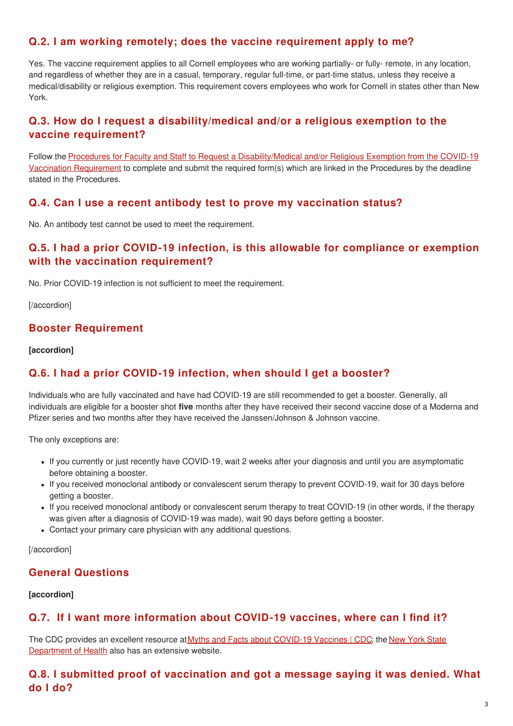#### **Q.2. I am working remotely; does the vaccine requirement apply to me?**

Yes. The vaccine requirement applies to all Cornell employees who are working partially- or fully- remote, in any location, and regardless of whether they are in a casual, temporary, regular full-time, or part-time status, unless they receive a medical/disability or religious exemption. This requirement covers employees who work for Cornell in states other than New York.

#### **Q.3. How do I request a disability/medical and/or a religious exemption to the vaccine requirement?**

Follow the Procedures for Faculty and Staff to Request a [Disability/Medical](https://hr.cornell.edu/sites/default/files/procedures_for_faculty_and_staff_to_request_a_medical_or_religious_exemption_to_covid-19_health_and_safety_protocols_oct._2021.pdf) and/or Religious Exemption from the COVID-19 Vaccination Requirement to complete and submit the required form(s) which are linked in the Procedures by the deadline stated in the Procedures.

#### **Q.4. Can I use a recent antibody test to prove my vaccination status?**

No. An antibody test cannot be used to meet the requirement.

#### **Q.5. I had a prior COVID-19 infection, is this allowable for compliance or exemption with the vaccination requirement?**

No. Prior COVID-19 infection is not sufficient to meet the requirement.

[/accordion]

#### **Booster Requirement**

**[accordion]**

#### **Q.6. I had a prior COVID-19 infection, when should I get a booster?**

Individuals who are fully vaccinated and have had COVID-19 are still recommended to get a booster. Generally, all individuals are eligible for a booster shot **five** months after they have received their second vaccine dose of a Moderna and Pfizer series and two months after they have received the Janssen/Johnson & Johnson vaccine.

The only exceptions are:

- If you currently or just recently have COVID-19, wait 2 weeks after your diagnosis and until you are asymptomatic before obtaining a booster.
- If you received monoclonal antibody or convalescent serum therapy to prevent COVID-19, wait for 30 days before getting a booster.
- If you received monoclonal antibody or convalescent serum therapy to treat COVID-19 (in other words, if the therapy was given after a diagnosis of COVID-19 was made), wait 90 days before getting a booster.
- Contact your primary care physician with any additional questions.

[/accordion]

### **General Questions**

#### **[accordion]**

#### **Q.7. If I want more information about COVID-19 vaccines, where can I find it?**

The CDC provides an excellent resource at Myths and Facts about [COVID-19](https://www.cdc.gov/coronavirus/2019-ncov/vaccines/facts.html) Vaccines | CDC; the New York State [Department](https://coronavirus.health.ny.gov/home) of Health also has an extensive website.

### **Q.8. I submitted proof of vaccination and got a message saying it was denied. What do I do?**